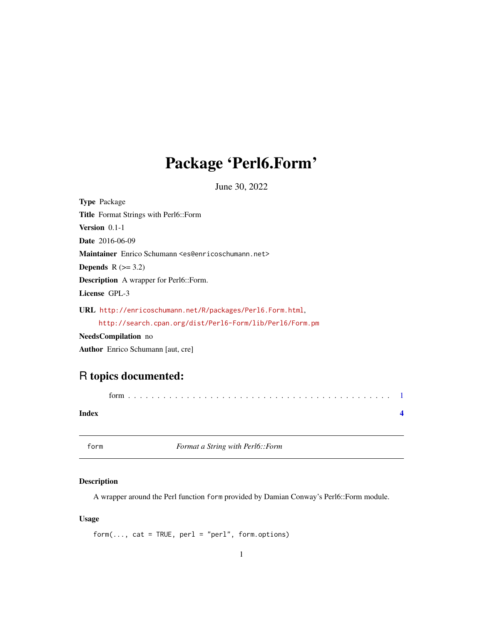## <span id="page-0-0"></span>Package 'Perl6.Form'

June 30, 2022

<span id="page-0-1"></span>

| <b>Type Package</b>                                                        |
|----------------------------------------------------------------------------|
| Title Format Strings with Perl6::Form                                      |
| <b>Version</b> $0.1-1$                                                     |
| <b>Date</b> 2016-06-09                                                     |
| Maintainer Enrico Schumann <es@enricoschumann.net></es@enricoschumann.net> |
| <b>Depends</b> $R (=3.2)$                                                  |
| <b>Description</b> A wrapper for Perl6::Form.                              |
| License GPL-3                                                              |
| URL http://enricoschumann.net/R/packages/Perl6.Form.html.                  |
| http://search.cpan.org/dist/Perl6-Form/lib/Perl6/Form.pm                   |
| <b>NeedsCompilation</b> no                                                 |

Author Enrico Schumann [aut, cre]

### R topics documented:

| Index |  |
|-------|--|

form *Format a String with Perl6::Form*

#### Description

A wrapper around the Perl function form provided by Damian Conway's Perl6::Form module.

#### Usage

 $form(..., cat = TRUE, per1 = "per1", form. options)$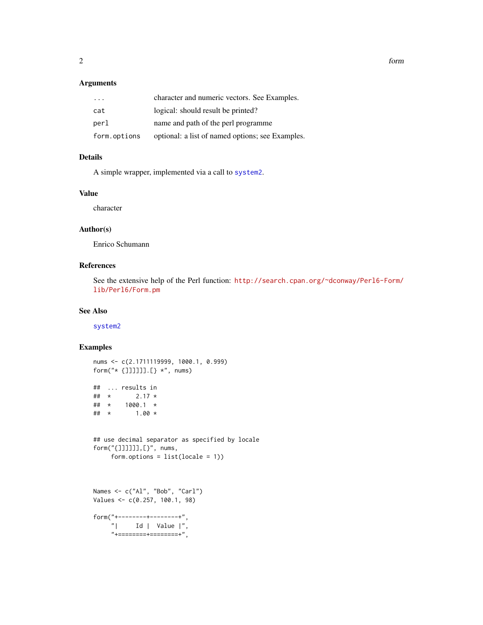#### Arguments

| $\cdot$ $\cdot$ $\cdot$ | character and numeric vectors. See Examples.     |
|-------------------------|--------------------------------------------------|
| cat                     | logical: should result be printed?               |
| perl                    | name and path of the perl programme              |
| form.options            | optional: a list of named options; see Examples. |

#### Details

A simple wrapper, implemented via a call to [system2](#page-0-1).

#### Value

character

#### Author(s)

Enrico Schumann

#### References

See the extensive help of the Perl function: [http://search.cpan.org/~dconway/Perl6-Form/](http://search.cpan.org/~dconway/Perl6-Form/lib/Perl6/Form.pm) [lib/Perl6/Form.pm](http://search.cpan.org/~dconway/Perl6-Form/lib/Perl6/Form.pm)

#### See Also

[system2](#page-0-1)

#### Examples

```
nums <- c(2.1711119999, 1000.1, 0.999)
form("* {]]]]]].[} *", nums)
## ... results in
## * 2.17 *## * 1000.1 *
## * 1.00 *
## use decimal separator as specified by locale
form("{]]]]]],[}", nums,
    form.options = list(locale = 1))
Names <- c("Al", "Bob", "Carl")
Values <- c(0.257, 100.1, 98)
form("+--------+--------+",
    "| Id | Value |'',
    "+========+========+",
```
<span id="page-1-0"></span> $2 \t\t form$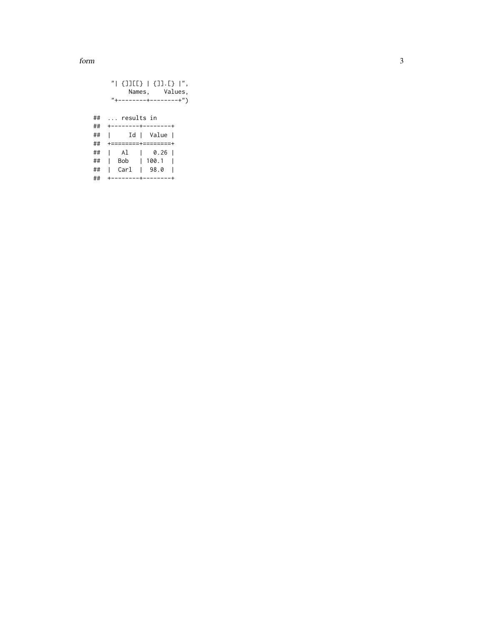form

|    | "  {]][[}   {]].[}  ",                  |
|----|-----------------------------------------|
|    | Names, Values,                          |
|    | "+--------+--------+")                  |
|    |                                         |
| ## | results in                              |
|    |                                         |
| ## | Id   Value                              |
| ## | $+$ = = = = = = = = + = = = = = = = = + |
| ## | $ $ Al $ $ 0.26                         |
| ## | Bob   100.1                             |
| ## | Carl   98.0                             |
| ## | --------+--------+                      |